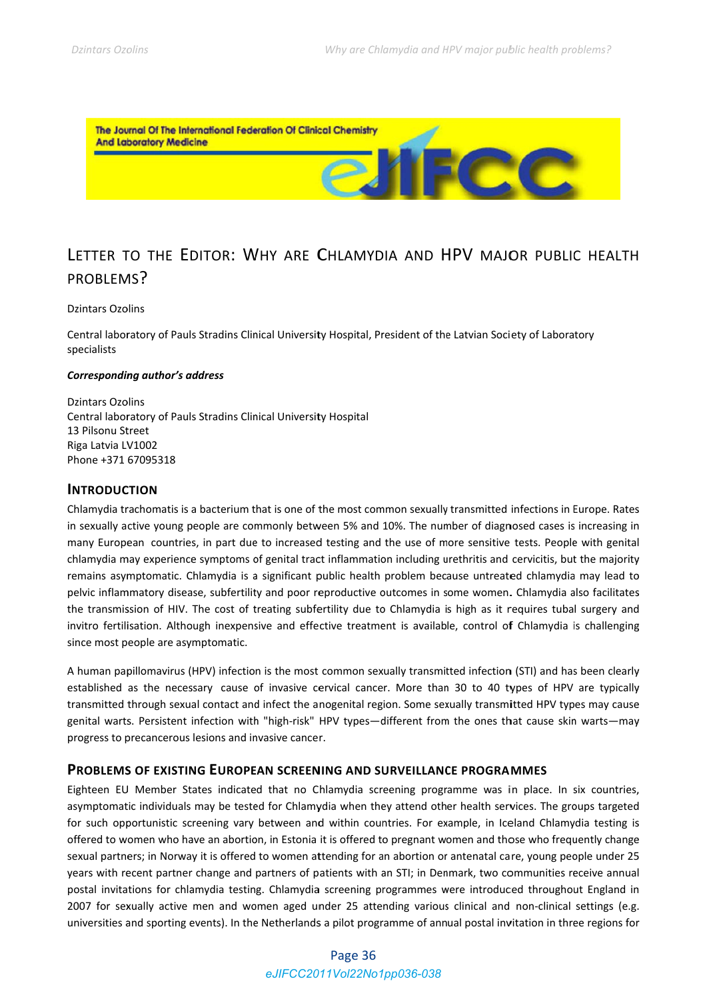

# LETTER TO THE EDITOR: WHY ARE CHLAMYDIA AND HPV MAJOR PUBLIC HEALTH PROBLEMS?

#### **Dzintars Ozolins**

Central laboratory of Pauls Stradins Clinical University Hospital, President of the Latvian Society of Laboratory specialists

#### Corresponding author's address

**Dzintars Ozolins** Central laboratory of Pauls Stradins Clinical University Hospital 13 Pilsonu Street Riga Latvia LV1002 Phone +371 67095318

## **INTRODUCTION**

Chlamydia trachomatis is a bacterium that is one of the most common sexually transmitted infections in Europe. Rates in sexually active young people are commonly between 5% and 10%. The number of diagnosed cases is increasing in many European countries, in part due to increased testing and the use of more sensitive tests. People with genital chlamydia may experience symptoms of genital tract inflammation including urethritis and cervicitis, but the majority remains asymptomatic. Chlamydia is a significant public health problem because untreated chlamydia may lead to pelvic inflammatory disease, subfertility and poor reproductive outcomes in some women. Chlamydia also facilitates the transmission of HIV. The cost of treating subfertility due to Chlamydia is high as it requires tubal surgery and invitro fertilisation. Although inexpensive and effective treatment is available, control of Chlamydia is challenging since most people are asymptomatic.

A human papillomavirus (HPV) infection is the most common sexually transmitted infection (STI) and has been clearly established as the necessary cause of invasive cervical cancer. More than 30 to 40 types of HPV are typically transmitted through sexual contact and infect the anogenital region. Some sexually transmitted HPV types may cause genital warts. Persistent infection with "high-risk" HPV types—different from the ones that cause skin warts—may progress to precancerous lesions and invasive cancer.

### **PROBLEMS OF EXISTING EUROPEAN SCREENING AND SURVEILLANCE PROGRAMMES**

Eighteen EU Member States indicated that no Chlamydia screening programme was in place. In six countries, asymptomatic individuals may be tested for Chlamydia when they attend other health services. The groups targeted for such opportunistic screening vary between and within countries. For example, in Iceland Chlamydia testing is offered to women who have an abortion, in Estonia it is offered to pregnant women and those who frequently change sexual partners; in Norway it is offered to women attending for an abortion or antenatal care, young people under 25 years with recent partner change and partners of patients with an STI; in Denmark, two communities receive annual postal invitations for chlamydia testing. Chlamydia screening programmes were introduced throughout England in 2007 for sexually active men and women aged under 25 attending various clinical and non-clinical settings (e.g. universities and sporting events). In the Netherlands a pilot programme of annual postal invitation in three regions for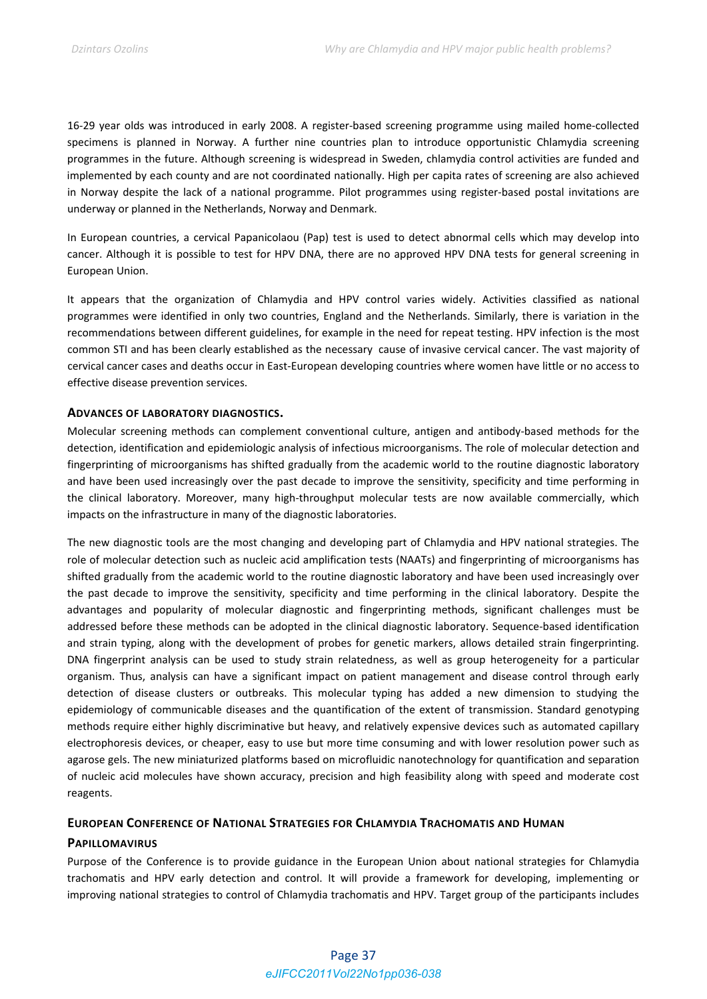16‐29 year olds was introduced in early 2008. A register‐based screening programme using mailed home‐collected specimens is planned in Norway. A further nine countries plan to introduce opportunistic Chlamydia screening programmes in the future. Although screening is widespread in Sweden, chlamydia control activities are funded and implemented by each county and are not coordinated nationally. High per capita rates of screening are also achieved in Norway despite the lack of a national programme. Pilot programmes using register‐based postal invitations are underway or planned in the Netherlands, Norway and Denmark.

In European countries, a cervical Papanicolaou (Pap) test is used to detect abnormal cells which may develop into cancer. Although it is possible to test for HPV DNA, there are no approved HPV DNA tests for general screening in European Union.

It appears that the organization of Chlamydia and HPV control varies widely. Activities classified as national programmes were identified in only two countries, England and the Netherlands. Similarly, there is variation in the recommendations between different guidelines, for example in the need for repeat testing. HPV infection is the most common STI and has been clearly established as the necessary cause of invasive cervical cancer. The vast majority of cervical cancer cases and deaths occur in East‐European developing countries where women have little or no access to effective disease prevention services.

### **ADVANCES OF LABORATORY DIAGNOSTICS.**

Molecular screening methods can complement conventional culture, antigen and antibody‐based methods for the detection, identification and epidemiologic analysis of infectious microorganisms. The role of molecular detection and fingerprinting of microorganisms has shifted gradually from the academic world to the routine diagnostic laboratory and have been used increasingly over the past decade to improve the sensitivity, specificity and time performing in the clinical laboratory. Moreover, many high‐throughput molecular tests are now available commercially, which impacts on the infrastructure in many of the diagnostic laboratories.

The new diagnostic tools are the most changing and developing part of Chlamydia and HPV national strategies. The role of molecular detection such as nucleic acid amplification tests (NAATs) and fingerprinting of microorganisms has shifted gradually from the academic world to the routine diagnostic laboratory and have been used increasingly over the past decade to improve the sensitivity, specificity and time performing in the clinical laboratory. Despite the advantages and popularity of molecular diagnostic and fingerprinting methods, significant challenges must be addressed before these methods can be adopted in the clinical diagnostic laboratory. Sequence‐based identification and strain typing, along with the development of probes for genetic markers, allows detailed strain fingerprinting. DNA fingerprint analysis can be used to study strain relatedness, as well as group heterogeneity for a particular organism. Thus, analysis can have a significant impact on patient management and disease control through early detection of disease clusters or outbreaks. This molecular typing has added a new dimension to studying the epidemiology of communicable diseases and the quantification of the extent of transmission. Standard genotyping methods require either highly discriminative but heavy, and relatively expensive devices such as automated capillary electrophoresis devices, or cheaper, easy to use but more time consuming and with lower resolution power such as agarose gels. The new miniaturized platforms based on microfluidic nanotechnology for quantification and separation of nucleic acid molecules have shown accuracy, precision and high feasibility along with speed and moderate cost reagents.

### **EUROPEAN CONFERENCE OF NATIONAL STRATEGIES FOR CHLAMYDIA TRACHOMATIS AND HUMAN**

### **PAPILLOMAVIRUS**

Purpose of the Conference is to provide guidance in the European Union about national strategies for Chlamydia trachomatis and HPV early detection and control. It will provide a framework for developing, implementing or improving national strategies to control of Chlamydia trachomatis and HPV. Target group of the participants includes